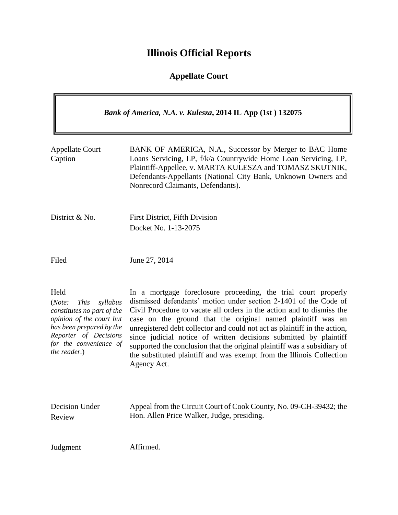## **Illinois Official Reports**

## **Appellate Court**

| Bank of America, N.A. v. Kulesza, 2014 IL App (1st) 132075                                                                                                                                         |                                                                                                                                                                                                                                                                                                                                                                                                                                                                                                                                                                                                  |
|----------------------------------------------------------------------------------------------------------------------------------------------------------------------------------------------------|--------------------------------------------------------------------------------------------------------------------------------------------------------------------------------------------------------------------------------------------------------------------------------------------------------------------------------------------------------------------------------------------------------------------------------------------------------------------------------------------------------------------------------------------------------------------------------------------------|
| <b>Appellate Court</b><br>Caption                                                                                                                                                                  | BANK OF AMERICA, N.A., Successor by Merger to BAC Home<br>Loans Servicing, LP, f/k/a Countrywide Home Loan Servicing, LP,<br>Plaintiff-Appellee, v. MARTA KULESZA and TOMASZ SKUTNIK,<br>Defendants-Appellants (National City Bank, Unknown Owners and<br>Nonrecord Claimants, Defendants).                                                                                                                                                                                                                                                                                                      |
| District & No.                                                                                                                                                                                     | <b>First District, Fifth Division</b><br>Docket No. 1-13-2075                                                                                                                                                                                                                                                                                                                                                                                                                                                                                                                                    |
| Filed                                                                                                                                                                                              | June 27, 2014                                                                                                                                                                                                                                                                                                                                                                                                                                                                                                                                                                                    |
| Held<br>(Note:<br><i>This</i><br>syllabus<br>constitutes no part of the<br>opinion of the court but<br>has been prepared by the<br>Reporter of Decisions<br>for the convenience of<br>the reader.) | In a mortgage foreclosure proceeding, the trial court properly<br>dismissed defendants' motion under section 2-1401 of the Code of<br>Civil Procedure to vacate all orders in the action and to dismiss the<br>case on the ground that the original named plaintiff was an<br>unregistered debt collector and could not act as plaintiff in the action,<br>since judicial notice of written decisions submitted by plaintiff<br>supported the conclusion that the original plaintiff was a subsidiary of<br>the substituted plaintiff and was exempt from the Illinois Collection<br>Agency Act. |
| Decision Under<br>Review                                                                                                                                                                           | Appeal from the Circuit Court of Cook County, No. 09-CH-39432; the<br>Hon. Allen Price Walker, Judge, presiding.                                                                                                                                                                                                                                                                                                                                                                                                                                                                                 |
| Judgment                                                                                                                                                                                           | Affirmed.                                                                                                                                                                                                                                                                                                                                                                                                                                                                                                                                                                                        |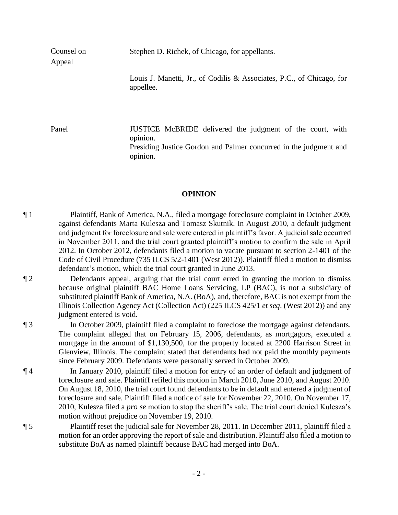Stephen D. Richek, of Chicago, for appellants.

Counsel on Appeal

> Louis J. Manetti, Jr., of Codilis & Associates, P.C., of Chicago, for appellee.

Panel **IUSTICE** McBRIDE delivered the judgment of the court, with opinion. Presiding Justice Gordon and Palmer concurred in the judgment and opinion.

## **OPINION**

¶ 1 Plaintiff, Bank of America, N.A., filed a mortgage foreclosure complaint in October 2009, against defendants Marta Kulesza and Tomasz Skutnik. In August 2010, a default judgment and judgment for foreclosure and sale were entered in plaintiff's favor. A judicial sale occurred in November 2011, and the trial court granted plaintiff's motion to confirm the sale in April 2012. In October 2012, defendants filed a motion to vacate pursuant to section 2-1401 of the Code of Civil Procedure (735 ILCS 5/2-1401 (West 2012)). Plaintiff filed a motion to dismiss defendant's motion, which the trial court granted in June 2013.

¶ 2 Defendants appeal, arguing that the trial court erred in granting the motion to dismiss because original plaintiff BAC Home Loans Servicing, LP (BAC), is not a subsidiary of substituted plaintiff Bank of America, N.A. (BoA), and, therefore, BAC is not exempt from the Illinois Collection Agency Act (Collection Act) (225 ILCS 425/1 *et seq*. (West 2012)) and any judgment entered is void.

¶ 3 In October 2009, plaintiff filed a complaint to foreclose the mortgage against defendants. The complaint alleged that on February 15, 2006, defendants, as mortgagors, executed a mortgage in the amount of \$1,130,500, for the property located at 2200 Harrison Street in Glenview, Illinois. The complaint stated that defendants had not paid the monthly payments since February 2009. Defendants were personally served in October 2009.

¶ 4 In January 2010, plaintiff filed a motion for entry of an order of default and judgment of foreclosure and sale. Plaintiff refiled this motion in March 2010, June 2010, and August 2010. On August 18, 2010, the trial court found defendants to be in default and entered a judgment of foreclosure and sale. Plaintiff filed a notice of sale for November 22, 2010. On November 17, 2010, Kulesza filed a *pro se* motion to stop the sheriff's sale. The trial court denied Kulesza's motion without prejudice on November 19, 2010.

¶ 5 Plaintiff reset the judicial sale for November 28, 2011. In December 2011, plaintiff filed a motion for an order approving the report of sale and distribution. Plaintiff also filed a motion to substitute BoA as named plaintiff because BAC had merged into BoA.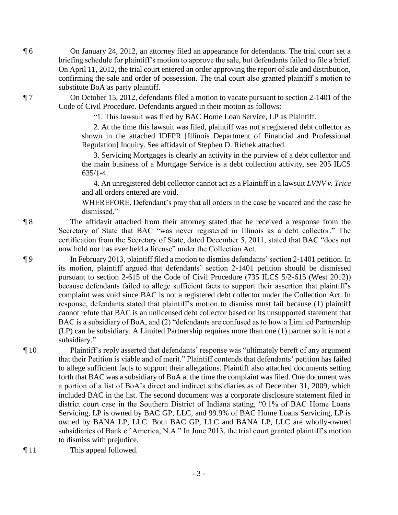¶ 6 On January 24, 2012, an attorney filed an appearance for defendants. The trial court set a briefing schedule for plaintiff's motion to approve the sale, but defendants failed to file a brief. On April 11, 2012, the trial court entered an order approving the report of sale and distribution, confirming the sale and order of possession. The trial court also granted plaintiff's motion to substitute BoA as party plaintiff.

¶ 7 On October 15, 2012, defendants filed a motion to vacate pursuant to section 2-1401 of the Code of Civil Procedure. Defendants argued in their motion as follows:

"1. This lawsuit was filed by BAC Home Loan Service, LP as Plaintiff.

2. At the time this lawsuit was filed, plaintiff was not a registered debt collector as shown in the attached IDFPR [Illinois Department of Financial and Professional Regulation] Inquiry. See affidavit of Stephen D. Richek attached.

3. Servicing Mortgages is clearly an activity in the purview of a debt collector and the main business of a Mortgage Service is a debt collection activity, see 205 ILCS 635/1-4.

4. An unregistered debt collector cannot act as a Plaintiff in a lawsuit *LVNV v. Trice* and all orders entered are void.

WHEREFORE, Defendant's pray that all orders in the case be vacated and the case be dismissed."

¶ 8 The affidavit attached from their attorney stated that he received a response from the Secretary of State that BAC "was never registered in Illinois as a debt collector." The certification from the Secretary of State, dated December 5, 2011, stated that BAC "does not now hold nor has ever held a license" under the Collection Act.

¶ 9 In February 2013, plaintiff filed a motion to dismiss defendants' section 2-1401 petition. In its motion, plaintiff argued that defendants' section 2-1401 petition should be dismissed pursuant to section 2-615 of the Code of Civil Procedure (735 ILCS 5/2-615 (West 2012)) because defendants failed to allege sufficient facts to support their assertion that plaintiff's complaint was void since BAC is not a registered debt collector under the Collection Act. In response, defendants stated that plaintiff's motion to dismiss must fail because (1) plaintiff cannot refute that BAC is an unlicensed debt collector based on its unsupported statement that BAC is a subsidiary of BoA, and (2) "defendants are confused as to how a Limited Partnership (LP) can be subsidiary. A Limited Partnership requires more than one (1) partner so it is not a subsidiary."

¶ 10 Plaintiff's reply asserted that defendants' response was "ultimately bereft of any argument that their Petition is viable and of merit." Plaintiff contends that defendants' petition has failed to allege sufficient facts to support their allegations. Plaintiff also attached documents setting forth that BAC was a subsidiary of BoA at the time the complaint was filed. One document was a portion of a list of BoA's direct and indirect subsidiaries as of December 31, 2009, which included BAC in the list. The second document was a corporate disclosure statement filed in district court case in the Southern District of Indiana stating, "0.1% of BAC Home Loans Servicing, LP is owned by BAC GP, LLC, and 99.9% of BAC Home Loans Servicing, LP is owned by BANA LP, LLC. Both BAC GP, LLC and BANA LP, LLC are wholly-owned subsidiaries of Bank of America, N.A." In June 2013, the trial court granted plaintiff's motion to dismiss with prejudice.

¶ 11 This appeal followed.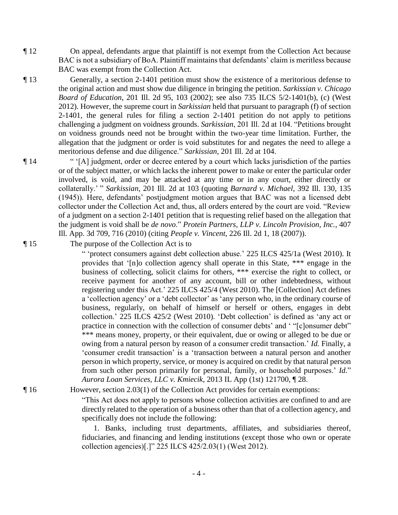¶ 12 On appeal, defendants argue that plaintiff is not exempt from the Collection Act because BAC is not a subsidiary of BoA. Plaintiff maintains that defendants' claim is meritless because BAC was exempt from the Collection Act.

¶ 13 Generally, a section 2-1401 petition must show the existence of a meritorious defense to the original action and must show due diligence in bringing the petition. *Sarkissian v. Chicago Board of Education*, 201 Ill. 2d 95, 103 (2002); see also 735 ILCS 5/2-1401(b), (c) (West 2012). However, the supreme court in *Sarkissian* held that pursuant to paragraph (f) of section 2-1401, the general rules for filing a section 2-1401 petition do not apply to petitions challenging a judgment on voidness grounds. *Sarkissian*, 201 Ill. 2d at 104. "Petitions brought on voidness grounds need not be brought within the two-year time limitation. Further, the allegation that the judgment or order is void substitutes for and negates the need to allege a meritorious defense and due diligence." *Sarkissian*, 201 Ill. 2d at 104.

¶ 14 " '[A] judgment, order or decree entered by a court which lacks jurisdiction of the parties or of the subject matter, or which lacks the inherent power to make or enter the particular order involved, is void, and may be attacked at any time or in any court, either directly or collaterally.' " *Sarkissian*, 201 Ill. 2d at 103 (quoting *Barnard v. Michael*, 392 Ill. 130, 135 (1945)). Here, defendants' postjudgment motion argues that BAC was not a licensed debt collector under the Collection Act and, thus, all orders entered by the court are void. "Review of a judgment on a section 2-1401 petition that is requesting relief based on the allegation that the judgment is void shall be *de novo*." *Protein Partners, LLP v. Lincoln Provision, Inc.*, 407 Ill. App. 3d 709, 716 (2010) (citing *People v. Vincent*, 226 Ill. 2d 1, 18 (2007)).

¶ 15 The purpose of the Collection Act is to

" 'protect consumers against debt collection abuse.' 225 ILCS 425/1a (West 2010). It provides that '[n]o collection agency shall operate in this State, \*\*\* engage in the business of collecting, solicit claims for others, \*\*\* exercise the right to collect, or receive payment for another of any account, bill or other indebtedness, without registering under this Act.' 225 ILCS 425/4 (West 2010). The [Collection] Act defines a 'collection agency' or a 'debt collector' as 'any person who, in the ordinary course of business, regularly, on behalf of himself or herself or others, engages in debt collection.' 225 ILCS 425/2 (West 2010). 'Debt collection' is defined as 'any act or practice in connection with the collection of consumer debts' and '"[c]onsumer debt" \*\*\* means money, property, or their equivalent, due or owing or alleged to be due or owing from a natural person by reason of a consumer credit transaction.' *Id.* Finally, a 'consumer credit transaction' is a 'transaction between a natural person and another person in which property, service, or money is acquired on credit by that natural person from such other person primarily for personal, family, or household purposes.' *Id.*" *Aurora Loan Services, LLC v. Kmiecik*, 2013 IL App (1st) 121700, ¶ 28.

¶ 16 However, section 2.03(1) of the Collection Act provides for certain exemptions:

"This Act does not apply to persons whose collection activities are confined to and are directly related to the operation of a business other than that of a collection agency, and specifically does not include the following:

1. Banks, including trust departments, affiliates, and subsidiaries thereof, fiduciaries, and financing and lending institutions (except those who own or operate collection agencies)[.]" 225 ILCS 425/2.03(1) (West 2012).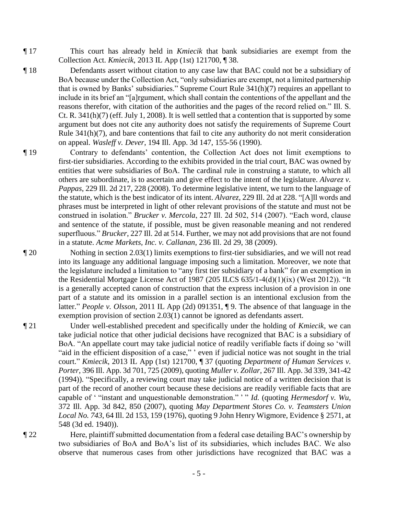- ¶ 17 This court has already held in *Kmiecik* that bank subsidiaries are exempt from the Collection Act. *Kmiecik*, 2013 IL App (1st) 121700, ¶ 38.
- ¶ 18 Defendants assert without citation to any case law that BAC could not be a subsidiary of BoA because under the Collection Act, "only subsidiaries are exempt, not a limited partnership that is owned by Banks' subsidiaries." Supreme Court Rule 341(h)(7) requires an appellant to include in its brief an "[a]rgument, which shall contain the contentions of the appellant and the reasons therefor, with citation of the authorities and the pages of the record relied on." Ill. S. Ct. R.  $341(h)(7)$  (eff. July 1, 2008). It is well settled that a contention that is supported by some argument but does not cite any authority does not satisfy the requirements of Supreme Court Rule 341(h)(7), and bare contentions that fail to cite any authority do not merit consideration on appeal. *Wasleff v. Dever*, 194 Ill. App. 3d 147, 155-56 (1990).
- ¶ 19 Contrary to defendants' contention, the Collection Act does not limit exemptions to first-tier subsidiaries. According to the exhibits provided in the trial court, BAC was owned by entities that were subsidiaries of BoA. The cardinal rule in construing a statute, to which all others are subordinate, is to ascertain and give effect to the intent of the legislature. *Alvarez v. Pappas*, 229 Ill. 2d 217, 228 (2008). To determine legislative intent, we turn to the language of the statute, which is the best indicator of its intent. *Alvarez*, 229 Ill. 2d at 228. "[A]ll words and phrases must be interpreted in light of other relevant provisions of the statute and must not be construed in isolation." *Brucker v. Mercola*, 227 Ill. 2d 502, 514 (2007). "Each word, clause and sentence of the statute, if possible, must be given reasonable meaning and not rendered superfluous." *Brucker*, 227 Ill. 2d at 514. Further, we may not add provisions that are not found in a statute. *Acme Markets, Inc. v. Callanan*, 236 Ill. 2d 29, 38 (2009).
- ¶ 20 Nothing in section 2.03(1) limits exemptions to first-tier subsidiaries, and we will not read into its language any additional language imposing such a limitation. Moreover, we note that the legislature included a limitation to "any first tier subsidiary of a bank" for an exemption in the Residential Mortgage License Act of 1987 (205 ILCS  $635/1-4(d)(1)(ix)$  (West 2012)). "It is a generally accepted canon of construction that the express inclusion of a provision in one part of a statute and its omission in a parallel section is an intentional exclusion from the latter." *People v. Olsson*, 2011 IL App (2d) 091351, ¶ 9. The absence of that language in the exemption provision of section 2.03(1) cannot be ignored as defendants assert.
- ¶ 21 Under well-established precedent and specifically under the holding of *Kmiecik*, we can take judicial notice that other judicial decisions have recognized that BAC is a subsidiary of BoA. "An appellate court may take judicial notice of readily verifiable facts if doing so 'will "aid in the efficient disposition of a case," ' even if judicial notice was not sought in the trial court." *Kmiecik*, 2013 IL App (1st) 121700, ¶ 37 (quoting *Department of Human Services v. Porter*, 396 Ill. App. 3d 701, 725 (2009), quoting *Muller v. Zollar*, 267 Ill. App. 3d 339, 341-42 (1994)). "Specifically, a reviewing court may take judicial notice of a written decision that is part of the record of another court because these decisions are readily verifiable facts that are capable of ' "instant and unquestionable demonstration." ' " *Id.* (quoting *Hermesdorf v. Wu*, 372 Ill. App. 3d 842, 850 (2007), quoting *May Department Stores Co. v. Teamsters Union Local No. 743*, 64 Ill. 2d 153, 159 (1976), quoting 9 John Henry Wigmore, Evidence § 2571, at 548 (3d ed. 1940)).
- ¶ 22 Here, plaintiff submitted documentation from a federal case detailing BAC's ownership by two subsidiaries of BoA and BoA's list of its subsidiaries, which includes BAC. We also observe that numerous cases from other jurisdictions have recognized that BAC was a

- 5 -